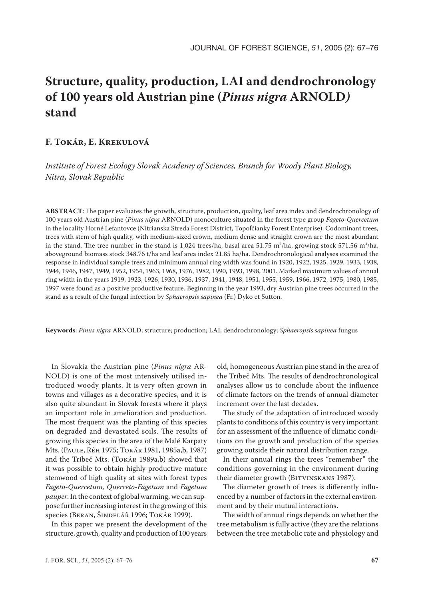# **Structure, quality, production, LAI and dendrochronology of 100 years old Austrian pine (***Pinus nigra* **ARNOLD***)*  **stand**

# **F. TOKÁR, E. KREKULOVÁ**

*Institute of Forest Ecology Slovak Academy of Sciences, Branch for Woody Plant Biology, Nitra, Slovak Republic*

**ABSTRACT**: The paper evaluates the growth, structure, production, quality, leaf area index and dendrochronology of 100 years old Austrian pine (*Pinus nigra* ARNOLD) monoculture situated in the forest type group *Fageto-Quercetum* in the locality Horné Lefantovce (Nitrianska Streda Forest District, Topoľčianky Forest Enterprise). Codominant trees, trees with stem of high quality, with medium-sized crown, medium dense and straight crown are the most abundant in the stand. The tree number in the stand is 1,024 trees/ha, basal area 51.75 m<sup>2</sup>/ha, growing stock 571.56 m<sup>3</sup>/ha, aboveground biomass stock 348.76 t/ha and leaf area index 21.85 ha/ha. Dendrochronological analyses examined the response in individual sample trees and minimum annual ring width was found in 1920, 1922, 1925, 1929, 1933, 1938, 1944, 1946, 1947, 1949, 1952, 1954, 1963, 1968, 1976, 1982, 1990, 1993, 1998, 2001. Marked maximum values of annual ring width in the years 1919, 1923, 1926, 1930, 1936, 1937, 1941, 1948, 1951, 1955, 1959, 1966, 1972, 1975, 1980, 1985, 1997 were found as a positive productive feature. Beginning in the year 1993, dry Austrian pine trees occurred in the stand as a result of the fungal infection by *Sphaeropsis sapinea* (Fr.) Dyko et Sutton.

**Keywords**: *Pinus nigra* ARNOLD; structure; production; LAI; dendrochronology; *Sphaeropsis sapinea* fungus

In Slovakia the Austrian pine (*Pinus nigra* AR-NOLD) is one of the most intensively utilised introduced woody plants. It is very often grown in towns and villages as a decorative species, and it is also quite abundant in Slovak forests where it plays an important role in amelioration and production. The most frequent was the planting of this species on degraded and devastated soils. The results of growing this species in the area of the Malé Karpaty Mts. (PAULE, RÉH 1975; TOKÁR 1981, 1985a,b, 1987) and the Tríbeč Mts. (TOKÁR 1989a,b) showed that it was possible to obtain highly productive mature stemwood of high quality at sites with forest types *Fageto-Quercetum, Querceto-Fagetum* and *Fagetum pauper*. In the context of global warming, we can suppose further increasing interest in the growing of this species (BERAN, ŠINDELÁŘ 1996; TOKÁR 1999).

In this paper we present the development of the structure, growth, quality and production of 100 years

old, homogeneous Austrian pine stand in the area of the Tríbeč Mts. The results of dendrochronological analyses allow us to conclude about the influence of climate factors on the trends of annual diameter increment over the last decades.

The study of the adaptation of introduced woody plants to conditions of this country is very important for an assessment of the influence of climatic conditions on the growth and production of the species growing outside their natural distribution range.

In their annual rings the trees "remember" the conditions governing in the environment during their diameter growth (BITVINSKANS 1987).

The diameter growth of trees is differently influenced by a number of factors in the external environment and by their mutual interactions.

The width of annual rings depends on whether the tree metabolism is fully active (they are the relations between the tree metabolic rate and physiology and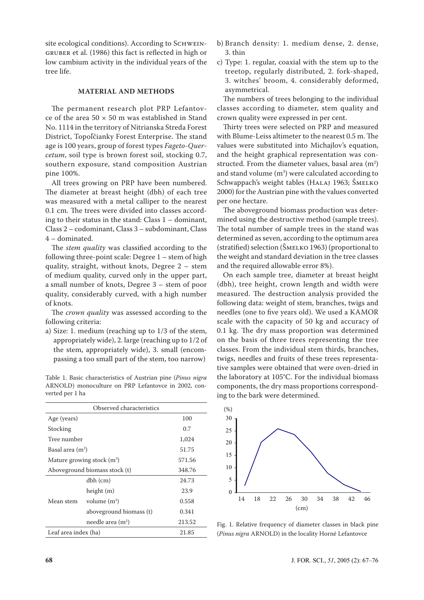site ecological conditions). According to SCHWEIN-GRUBER et al. (1986) this fact is reflected in high or low cambium activity in the individual years of the tree life.

# **MATERIAL AND METHODS**

The permanent research plot PRP Lefantovce of the area  $50 \times 50$  m was established in Stand No. 1114 in the territory of Nitrianska Streda Forest District, Topoľčianky Forest Enterprise. The stand age is 100 years, group of forest types *Fageto-Quercetum*, soil type is brown forest soil, stocking 0.7, southern exposure, stand composition Austrian pine 100%.

All trees growing on PRP have been numbered. The diameter at breast height (dbh) of each tree was measured with a metal calliper to the nearest 0.1 cm. The trees were divided into classes according to their status in the stand: Class 1 – dominant, Class 2 – codominant, Class 3 – subdominant, Class 4 – dominated.

The *stem quality* was classified according to the following three-point scale: Degree 1 – stem of high quality, straight, without knots, Degree 2 – stem of medium quality, curved only in the upper part, a small number of knots, Degree 3 – stem of poor quality, considerably curved, with a high number of knots.

The *crown quality* was assessed according to the following criteria:

a) Size: 1. medium (reaching up to 1/3 of the stem, appropriately wide), 2. large (reaching up to 1/2 of the stem, appropriately wide), 3. small (encompassing a too small part of the stem, too narrow)

Table 1. Basic characteristics of Austrian pine (*Pinus nigra* ARNOLD) monoculture on PRP Lefantovce in 2002, converted per 1 ha

| Observed characteristics      |                         |        |  |  |  |  |
|-------------------------------|-------------------------|--------|--|--|--|--|
| Age (years)                   | 100                     |        |  |  |  |  |
| Stocking                      | 0.7                     |        |  |  |  |  |
| Tree number                   | 1,024                   |        |  |  |  |  |
| Basal area (m <sup>2</sup> )  | 51.75                   |        |  |  |  |  |
| Mature growing stock $(m^3)$  | 571.56                  |        |  |  |  |  |
| Aboveground biomass stock (t) | 348.76                  |        |  |  |  |  |
| Mean stem                     | dbh (cm)                | 24.73  |  |  |  |  |
|                               | height (m)              | 23.9   |  |  |  |  |
|                               | volume $(m^3)$          | 0.558  |  |  |  |  |
|                               | aboveground biomass (t) | 0.341  |  |  |  |  |
|                               | needle area $(m2)$      | 213.52 |  |  |  |  |
| Leaf area index (ha)          | 21.85                   |        |  |  |  |  |

- b) Branch density: 1. medium dense, 2. dense, 3. thin
- c) Type: 1. regular, coaxial with the stem up to the treetop, regularly distributed, 2. fork-shaped, 3. witches' broom, 4. considerably deformed, asymmetrical.

The numbers of trees belonging to the individual classes according to diameter, stem quality and crown quality were expressed in per cent.

Thirty trees were selected on PRP and measured with Blume-Leiss altimeter to the nearest 0.5 m. The values were substituted into Michajlov's equation, and the height graphical representation was constructed. From the diameter values, basal area  $(m^2)$ and stand volume  $(m^3)$  were calculated according to Schwappach's weight tables (HALAJ 1963; ŠMELKO 2000) for the Austrian pine with the values converted per one hectare.

The aboveground biomass production was determined using the destructive method (sample trees). The total number of sample trees in the stand was determined as seven, according to the optimum area (stratified) selection (ŠMELKO 1963) (proportional to the weight and standard deviation in the tree classes and the required allowable error 8%).

On each sample tree, diameter at breast height (dbh), tree height, crown length and width were measured. The destruction analysis provided the following data: weight of stem, branches, twigs and needles (one to five years old). We used a KAMOR scale with the capacity of 50 kg and accuracy of 0.1 kg. The dry mass proportion was determined on the basis of three trees representing the tree classes. From the individual stem thirds, branches, twigs, needles and fruits of these trees representative samples were obtained that were oven-dried in the laboratory at 105°C. For the individual biomass components, the dry mass proportions corresponding to the bark were determined.



Fig. 1. Relative frequency of diameter classes in black pine (*Pinus nigra* ARNOLD) in the locality Horné Lefantovce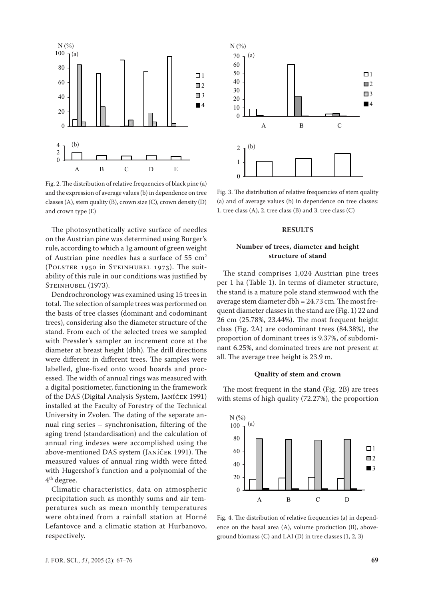

Fig. 2. The distribution of relative frequencies of black pine (a) and the expression of average values (b) in dependence on tree classes (A), stem quality (B), crown size (C), crown density (D) and crown type (E)

The photosynthetically active surface of needles on the Austrian pine was determined using Burger's rule, according to which a 1g amount of green weight of Austrian pine needles has a surface of  $55 \text{ cm}^2$ (POLSTER 1950 in STEINHUBEL 1973). The suitability of this rule in our conditions was justified by STEINHUBEL (1973).

Dendrochronology was examined using 15 trees in total. The selection of sample trees was performed on the basis of tree classes (dominant and codominant trees), considering also the diameter structure of the stand. From each of the selected trees we sampled with Pressler's sampler an increment core at the diameter at breast height (dbh). The drill directions were different in different trees. The samples were labelled, glue-fixed onto wood boards and processed. The width of annual rings was measured with a digital positiometer, functioning in the framework of the DAS (Digital Analysis System, JANÍČEK 1991) installed at the Faculty of Forestry of the Technical University in Zvolen. The dating of the separate annual ring series – synchronisation, filtering of the aging trend (standardisation) and the calculation of annual ring indexes were accomplished using the above-mentioned DAS system (JANÍČEK 1991). The measured values of annual ring width were fitted with Hugershof's function and a polynomial of the 4th degree.

Climatic characteristics, data on atmospheric precipitation such as monthly sums and air temperatures such as mean monthly temperatures were obtained from a rainfall station at Horné Lefantovce and a climatic station at Hurbanovo, respectively.



Fig. 3. The distribution of relative frequencies of stem quality (a) and of average values (b) in dependence on tree classes: 1. tree class (A), 2. tree class (B) and 3. tree class (C)

#### **RESULTS**

# **Number of trees, diameter and height structure of stand**

The stand comprises 1,024 Austrian pine trees per 1 ha (Table 1). In terms of diameter structure, the stand is a mature pole stand stemwood with the average stem diameter dbh = 24.73 cm. The most frequent diameter classes in the stand are (Fig. 1) 22 and 26 cm (25.78%, 23.44%). The most frequent height class (Fig. 2A) are codominant trees (84.38%), the proportion of dominant trees is 9.37%, of subdominant 6.25%, and dominated trees are not present at all. The average tree height is 23.9 m.

#### **Quality of stem and crown**

The most frequent in the stand (Fig. 2B) are trees with stems of high quality (72.27%), the proportion



Fig. 4. The distribution of relative frequencies (a) in dependence on the basal area (A), volume production (B), aboveground biomass (C) and LAI (D) in tree classes (1, 2, 3)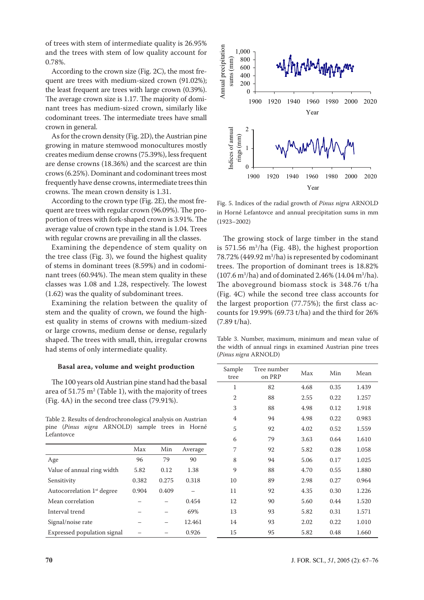of trees with stem of intermediate quality is 26.95% and the trees with stem of low quality account for 0.78%.

According to the crown size (Fig. 2C), the most frequent are trees with medium-sized crown (91.02%); the least frequent are trees with large crown (0.39%). The average crown size is 1.17. The majority of dominant trees has medium-sized crown, similarly like codominant trees. The intermediate trees have small crown in general.

As for the crown density (Fig. 2D), the Austrian pine growing in mature stemwood monocultures mostly creates medium dense crowns (75.39%), less frequent are dense crowns (18.36%) and the scarcest are thin crows (6.25%). Dominant and codominant trees most frequently have dense crowns, intermediate trees thin crowns. The mean crown density is 1.31.

According to the crown type (Fig. 2E), the most frequent are trees with regular crown (96.09%). The proportion of trees with fork-shaped crown is 3.91%. The average value of crown type in the stand is 1.04. Trees with regular crowns are prevailing in all the classes.

Examining the dependence of stem quality on the tree class (Fig. 3), we found the highest quality of stems in dominant trees (8.59%) and in codominant trees (60.94%). The mean stem quality in these classes was 1.08 and 1.28, respectively. The lowest (1.62) was the quality of subdominant trees.

Examining the relation between the quality of stem and the quality of crown, we found the highest quality in stems of crowns with medium-sized or large crowns, medium dense or dense, regularly shaped. The trees with small, thin, irregular crowns had stems of only intermediate quality.

### **Basal area, volume and weight production**

The 100 years old Austrian pine stand had the basal area of 51.75  $\mathrm{m}^2$  (Table 1), with the majority of trees (Fig. 4A) in the second tree class (79.91%).



|                                        | Max   | Min   | Average |  |
|----------------------------------------|-------|-------|---------|--|
| Age                                    | 96    | 79    | 90      |  |
| Value of annual ring width             | 5.82  | 0.12  | 1.38    |  |
| Sensitivity                            | 0.382 | 0.275 | 0.318   |  |
| Autocorrelation 1 <sup>st</sup> degree | 0.904 | 0.409 |         |  |
| Mean correlation                       |       |       | 0.454   |  |
| Interval trend                         |       |       | 69%     |  |
| Signal/noise rate                      |       |       | 12.461  |  |
| Expressed population signal            |       |       | 0.926   |  |



Fig. 5. Indices of the radial growth of *Pinus nigra* ARNOLD in Horné Lefantovce and annual precipitation sums in mm (1923–2002)

The growing stock of large timber in the stand is 571.56 m3 /ha (Fig. 4B), the highest proportion  $78.72\%$  (449.92 m<sup>3</sup>/ha) is represented by codominant trees. The proportion of dominant trees is 18.82%  $(107.6 \text{ m}^3/\text{ha})$  and of dominated 2.46%  $(14.04 \text{ m}^3/\text{ha})$ . The aboveground biomass stock is 348.76 t/ha (Fig. 4C) while the second tree class accounts for the largest proportion (77.75%); the first class accounts for 19.99% (69.73 t/ha) and the third for 26% (7.89 t/ha).

Table 3. Number, maximum, minimum and mean value of the width of annual rings in examined Austrian pine trees (*Pinus nigra* ARNOLD)

| Sample<br>tree | Tree number<br>on PRP | Max  | Min  | Mean  |
|----------------|-----------------------|------|------|-------|
| 1              | 82                    | 4.68 | 0.35 | 1.439 |
| $\overline{2}$ | 88                    | 2.55 | 0.22 | 1.257 |
| 3              | 88                    | 4.98 | 0.12 | 1.918 |
| 4              | 94                    | 4.98 | 0.22 | 0.983 |
| 5              | 92                    | 4.02 | 0.52 | 1.559 |
| 6              | 79                    | 3.63 | 0.64 | 1.610 |
| 7              | 92                    | 5.82 | 0.28 | 1.058 |
| 8              | 94                    | 5.06 | 0.17 | 1.025 |
| 9              | 88                    | 4.70 | 0.55 | 1.880 |
| 10             | 89                    | 2.98 | 0.27 | 0.964 |
| 11             | 92                    | 4.35 | 0.30 | 1.226 |
| 12             | 90                    | 5.60 | 0.44 | 1.520 |
| 13             | 93                    | 5.82 | 0.31 | 1.571 |
| 14             | 93                    | 2.02 | 0.22 | 1.010 |
| 15             | 95                    | 5.82 | 0.48 | 1.660 |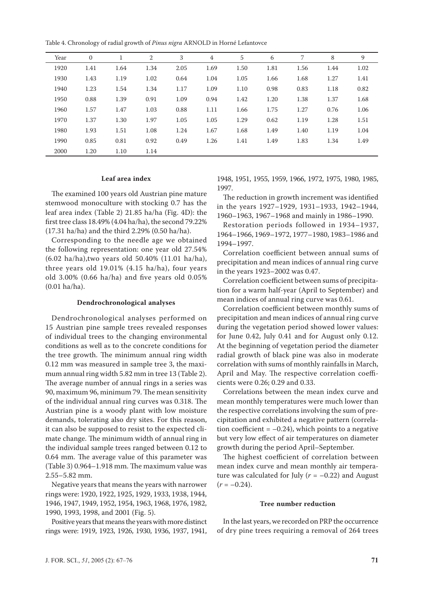Table 4. Chronology of radial growth of *Pinus nigra* ARNOLD in Horné Lefantovce

| Year | $\mathbf{0}$ |      | 2    | 3    | $\overline{4}$ | 5    | 6    | 7    | 8    | 9    |
|------|--------------|------|------|------|----------------|------|------|------|------|------|
| 1920 | 1.41         | 1.64 | 1.34 | 2.05 | 1.69           | 1.50 | 1.81 | 1.56 | 1.44 | 1.02 |
| 1930 | 1.43         | 1.19 | 1.02 | 0.64 | 1.04           | 1.05 | 1.66 | 1.68 | 1.27 | 1.41 |
| 1940 | 1.23         | 1.54 | 1.34 | 1.17 | 1.09           | 1.10 | 0.98 | 0.83 | 1.18 | 0.82 |
| 1950 | 0.88         | 1.39 | 0.91 | 1.09 | 0.94           | 1.42 | 1.20 | 1.38 | 1.37 | 1.68 |
| 1960 | 1.57         | 1.47 | 1.03 | 0.88 | 1.11           | 1.66 | 1.75 | 1.27 | 0.76 | 1.06 |
| 1970 | 1.37         | 1.30 | 1.97 | 1.05 | 1.05           | 1.29 | 0.62 | 1.19 | 1.28 | 1.51 |
| 1980 | 1.93         | 1.51 | 1.08 | 1.24 | 1.67           | 1.68 | 1.49 | 1.40 | 1.19 | 1.04 |
| 1990 | 0.85         | 0.81 | 0.92 | 0.49 | 1.26           | 1.41 | 1.49 | 1.83 | 1.34 | 1.49 |
| 2000 | 1.20         | 1.10 | 1.14 |      |                |      |      |      |      |      |

#### **Leaf area index**

The examined 100 years old Austrian pine mature stemwood monoculture with stocking 0.7 has the leaf area index (Table 2) 21.85 ha/ha (Fig. 4D): the first tree class 18.49% (4.04 ha/ha), the second 79.22% (17.31 ha/ha) and the third 2.29% (0.50 ha/ha).

Corresponding to the needle age we obtained the following representation: one year old 27.54% (6.02 ha/ha),two years old 50.40% (11.01 ha/ha), three years old 19.01% (4.15 ha/ha), four years old 3.00% (0.66 ha/ha) and five years old 0.05% (0.01 ha/ha).

#### **Dendrochronological analyses**

Dendrochronological analyses performed on 15 Austrian pine sample trees revealed responses of individual trees to the changing environmental conditions as well as to the concrete conditions for the tree growth. The minimum annual ring width 0.12 mm was measured in sample tree 3, the maximum annual ring width 5.82 mm in tree 13 (Table 2). The average number of annual rings in a series was 90, maximum 96, minimum 79. The mean sensitivity of the individual annual ring curves was 0.318. The Austrian pine is a woody plant with low moisture demands, tolerating also dry sites. For this reason, it can also be supposed to resist to the expected climate change. The minimum width of annual ring in the individual sample trees ranged between 0.12 to 0.64 mm. The average value of this parameter was (Table 3) 0.964–1.918 mm. The maximum value was 2.55–5.82 mm.

Negative years that means the years with narrower rings were: 1920, 1922, 1925, 1929, 1933, 1938, 1944, 1946, 1947, 1949, 1952, 1954, 1963, 1968, 1976, 1982, 1990, 1993, 1998, and 2001 (Fig. 5).

Positive years that means the years with more distinct rings were: 1919, 1923, 1926, 1930, 1936, 1937, 1941, 1948, 1951, 1955, 1959, 1966, 1972, 1975, 1980, 1985, 1997.

The reduction in growth increment was identified in the years 1927–1929, 1931–1933, 1942–1944, 1960–1963, 1967–1968 and mainly in 1986–1990.

Restoration periods followed in 1934–1937, 1964–1966, 1969–1972, 1977–1980, 1983–1986 and 1994–1997.

Correlation coefficient between annual sums of precipitation and mean indices of annual ring curve in the years 1923–2002 was 0.47.

Correlation coefficient between sums of precipitation for a warm half-year (April to September) and mean indices of annual ring curve was 0.61.

Correlation coefficient between monthly sums of precipitation and mean indices of annual ring curve during the vegetation period showed lower values: for June 0.42, July 0.41 and for August only 0.12. At the beginning of vegetation period the diameter radial growth of black pine was also in moderate correlation with sums of monthly rainfalls in March, April and May. The respective correlation coefficients were 0.26; 0.29 and 0.33.

Correlations between the mean index curve and mean monthly temperatures were much lower than the respective correlations involving the sum of precipitation and exhibited a negative pattern (correlation coefficient  $= -0.24$ ), which points to a negative but very low effect of air temperatures on diameter growth during the period April–September.

The highest coefficient of correlation between mean index curve and mean monthly air temperature was calculated for July  $(r = -0.22)$  and August  $(r = -0.24)$ .

#### **Tree number reduction**

In the last years, we recorded on PRP the occurrence of dry pine trees requiring a removal of 264 trees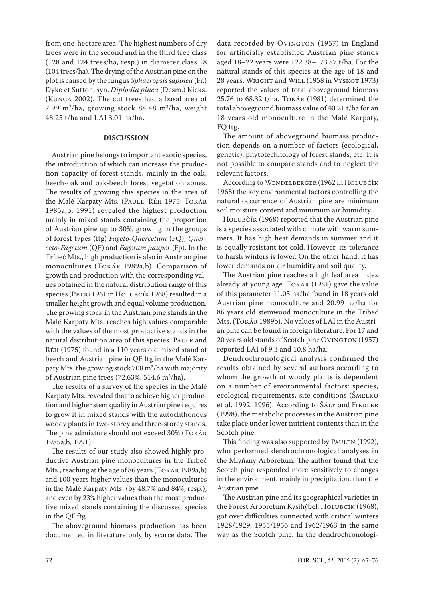from one-hectare area. The highest numbers of dry trees were in the second and in the third tree class (128 and 124 trees/ha, resp.) in diameter class 18 (104 trees/ha). The drying of the Austrian pine on the plot is caused by the fungus *Sphaeropsis sapinea* (Fr.) Dyko et Sutton, syn. *Diplodia pinea* (Desm.) Kicks. (KUNCA 2002). The cut trees had a basal area of 7.99 m2 /ha, growing stock 84.48 m3 /ha, weight 48.25 t/ha and LAI 3.01 ha/ha.

#### **DISCUSSION**

Austrian pine belongs to important exotic species, the introduction of which can increase the production capacity of forest stands, mainly in the oak, beech-oak and oak-beech forest vegetation zones. The results of growing this species in the area of the Malé Karpaty Mts. (PAULE, RÉH 1975; TOKÁR 1985a,b, 1991) revealed the highest production mainly in mixed stands containing the proportion of Austrian pine up to 30%, growing in the groups of forest types (ftg) *Fageto*-*Quercetum* (FQ), *Querceto*-*Fagetum* (QF) and *Fagetum pauper* (Fp). In the Tríbeč Mts., high production is also in Austrian pine monocultures (TOKÁR 1989a,b). Comparison of growth and production with the corresponding values obtained in the natural distribution range of this species (PETRI 1961 in HOLUBČÍK 1968) resulted in a smaller height growth and equal volume production. The growing stock in the Austrian pine stands in the Malé Karpaty Mts. reaches high values comparable with the values of the most productive stands in the natural distribution area of this species. PAULE and RÉH (1975) found in a 110 years old mixed stand of beech and Austrian pine in QF ftg in the Malé Karpaty Mts. the growing stock 708 m<sup>3</sup>/ha with majority of Austrian pine trees (72.63%, 514.6 m<sup>3</sup>/ha).

The results of a survey of the species in the Malé Karpaty Mts. revealed that to achieve higher production and higher stem quality in Austrian pine requires to grow it in mixed stands with the autochthonous woody plants in two-storey and three-storey stands. The pine admixture should not exceed 30% (TOKÁR 1985a,b, 1991).

The results of our study also showed highly productive Austrian pine monocultures in the Tríbeč Mts., reaching at the age of 86 years (TOKÁR 1989a,b) and 100 years higher values than the monocultures in the Malé Karpaty Mts. (by 48.7% and 84%, resp.), and even by 23% higher values than the most productive mixed stands containing the discussed species in the QF ftg.

The aboveground biomass production has been documented in literature only by scarce data. The

data recorded by OVINGTON (1957) in England for artificially established Austrian pine stands aged 18–22 years were 122.38–173.87 t/ha. For the natural stands of this species at the age of 18 and 28 years, WRIGHT and WILL (1958 in VYSKOT 1973) reported the values of total aboveground biomass 25.76 to 68.32 t/ha. TOKÁR (1981) determined the total aboveground biomass value of 40.21 t/ha for an 18 years old monoculture in the Malé Karpaty, FQ ftg.

The amount of aboveground biomass production depends on a number of factors (ecological, genetic), phytotechnology of forest stands, etc. It is not possible to compare stands and to neglect the relevant factors.

According to WENDELBERGER (1962 in HOLUBČÍK 1968) the key environmental factors controlling the natural occurrence of Austrian pine are minimum soil moisture content and minimum air humidity.

HOLUBČÍK (1968) reported that the Austrian pine is a species associated with climate with warm summers. It has high heat demands in summer and it is equally resistant tot cold. However, its tolerance to harsh winters is lower. On the other hand, it has lower demands on air humidity and soil quality.

The Austrian pine reaches a high leaf area index already at young age. TOKÁR (1981) gave the value of this parameter 11.05 ha/ha found in 18 years old Austrian pine monoculture and 20.99 ha/ha for 86 years old stemwood monoculture in the Tríbeč Mts. (TOKÁR 1989b). No values of LAI in the Austrian pine can be found in foreign literature. For 17 and 20 years old stands of Scotch pine OVINGTON (1957) reported LAI of 9.3 and 10.8 ha/ha.

Dendrochronological analysis confirmed the results obtained by several authors according to whom the growth of woody plants is dependent on a number of environmental factors: species, ecological requirements, site conditions (ŠMELKO et al. 1992, 1996). According to ŠÁLY and FIEDLER (1998), the metabolic processes in the Austrian pine take place under lower nutrient contents than in the Scotch pine.

This finding was also supported by PAULEN (1992), who performed dendrochronological analyses in the Mlyňany Arboretum. The author found that the Scotch pine responded more sensitively to changes in the environment, mainly in precipitation, than the Austrian pine.

The Austrian pine and its geographical varieties in the Forest Arboretum Kysihýbel, HOLUBČÍK (1968), got over difficulties connected with critical winters 1928/1929, 1955/1956 and 1962/1963 in the same way as the Scotch pine. In the dendrochronologi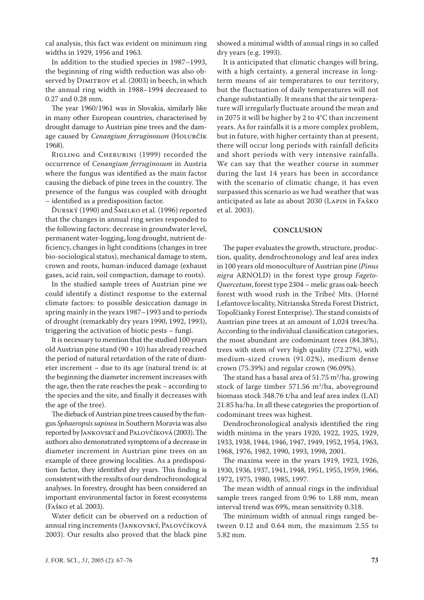cal analysis, this fact was evident on minimum ring widths in 1929, 1956 and 1963.

In addition to the studied species in 1987–1993, the beginning of ring width reduction was also observed by DIMITROV et al. (2003) in beech, in which the annual ring width in 1988–1994 decreased to 0.27 and 0.28 mm.

The year 1960/1961 was in Slovakia, similarly like in many other European countries, characterised by drought damage to Austrian pine trees and the damage caused by *Cenangium ferruginosum* (HOLUBČÍK 1968).

RIGLING and CHERUBINI (1999) recorded the occurrence of *Cenangium ferruginosum* in Austria where the fungus was identified as the main factor causing the dieback of pine trees in the country. The presence of the fungus was coupled with drought – identified as a predisposition factor.

ĎURSKÝ (1990) and ŠMELKO et al. (1996) reported that the changes in annual ring series responded to the following factors: decrease in groundwater level, permanent water-logging, long drought, nutrient deficiency, changes in light conditions (changes in tree bio-sociological status), mechanical damage to stem, crown and roots, human-induced damage (exhaust gases, acid rain, soil compaction, damage to roots).

In the studied sample trees of Austrian pine we could identify a distinct response to the external climate factors: to possible desiccation damage in spring mainly in the years 1987–1993 and to periods of drought (remarkably dry years 1990, 1992, 1993), triggering the activation of biotic pests – fungi.

It is necessary to mention that the studied 100 years old Austrian pine stand  $(90 + 10)$  has already reached the period of natural retardation of the rate of diameter increment – due to its age (natural trend is: at the beginning the diameter increment increases with the age, then the rate reaches the peak – according to the species and the site, and finally it decreases with the age of the tree).

The dieback of Austrian pine trees caused by the fungus *Sphaeropsis sapinea* in Southern Moravia was also reported by JANKOVSKÝ and PALOVČÍKOVÁ (2003). The authors also demonstrated symptoms of a decrease in diameter increment in Austrian pine trees on an example of three growing localities. As a predisposition factor, they identified dry years. This finding is consistent with the results of our dendrochronological analyses. In forestry, drought has been considered an important environmental factor in forest ecosystems (FAŠKO et al. 2003).

Water deficit can be observed on a reduction of annual ring increments (JANKOVSKÝ, PALOVČÍKOVÁ 2003). Our results also proved that the black pine

showed a minimal width of annual rings in so called dry years (e.g. 1993).

It is anticipated that climatic changes will bring, with a high certainty, a general increase in longterm means of air temperatures to our territory, but the fluctuation of daily temperatures will not change substantially. It means that the air temperature will irregularly fluctuate around the mean and in 2075 it will be higher by 2 to 4°C than increment years. As for rainfalls it is a more complex problem, but in future, with higher certainty than at present, there will occur long periods with rainfall deficits and short periods with very intensive rainfalls. We can say that the weather course in summer during the last 14 years has been in accordance with the scenario of climatic change, it has even surpassed this scenario as we had weather that was anticipated as late as about 2030 (LAPIN in FAŠKO et al. 2003).

#### **CONCLUSION**

The paper evaluates the growth, structure, production, quality, dendrochronology and leaf area index in 100 years old monoculture of Austrian pine (*Pinus nigra* ARNOLD) in the forest type group *Fageto-Quercetum*, forest type 2304 – melic grass oak-beech forest with wood rush in the Tríbeč Mts. (Horné Lefantovce locality, Nitrianska Streda Forest District, Topoľčianky Forest Enterprise). The stand consists of Austrian pine trees at an amount of 1,024 trees/ha. According to the individual classification categories, the most abundant are codominant trees (84.38%), trees with stem of very high quality (72.27%), with medium-sized crown (91.02%), medium dense crown (75.39%) and regular crown (96.09%).

The stand has a basal area of  $51.75 \text{ m}^2/\text{ha}$ , growing stock of large timber  $571.56 \text{ m}^3/\text{ha}$ , aboveground biomass stock 348.76 t/ha and leaf area index (LAI) 21.85 ha/ha. In all these categories the proportion of codominant trees was highest.

Dendrochronological analysis identified the ring width minima in the years 1920, 1922, 1925, 1929, 1933, 1938, 1944, 1946, 1947, 1949, 1952, 1954, 1963, 1968, 1976, 1982, 1990, 1993, 1998, 2001.

The maxima were in the years 1919, 1923, 1926, 1930, 1936, 1937, 1941, 1948, 1951, 1955, 1959, 1966, 1972, 1975, 1980, 1985, 1997.

The mean width of annual rings in the individual sample trees ranged from 0.96 to 1.88 mm, mean interval trend was 69%, mean sensitivity 0.318.

The minimum width of annual rings ranged between 0.12 and 0.64 mm, the maximum 2.55 to 5.82 mm.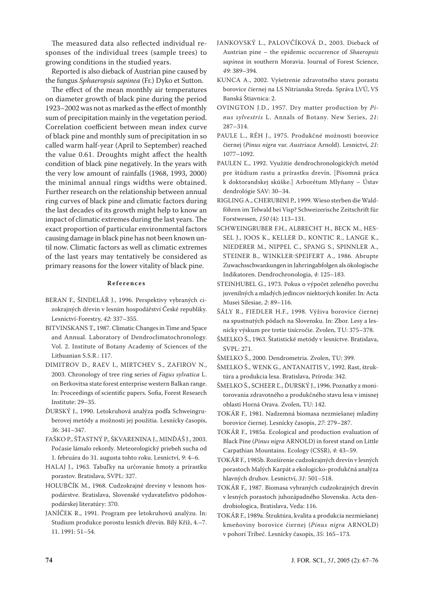The measured data also reflected individual responses of the individual trees (sample trees) to growing conditions in the studied years.

Reported is also dieback of Austrian pine caused by the fungus *Sphaeropsis sapinea* (Fr.) Dyko et Sutton.

The effect of the mean monthly air temperatures on diameter growth of black pine during the period 1923–2002 was not as marked as the effect of monthly sum of precipitation mainly in the vegetation period. Correlation coefficient between mean index curve of black pine and monthly sum of precipitation in so called warm half-year (April to September) reached the value 0.61. Droughts might affect the health condition of black pine negatively. In the years with the very low amount of rainfalls (1968, 1993, 2000) the minimal annual rings widths were obtained. Further research on the relationship between annual ring curves of black pine and climatic factors during the last decades of its growth might help to know an impact of climatic extremes during the last years. The exact proportion of particular environmental factors causing damage in black pine has not been known until now. Climatic factors as well as climatic extremes of the last years may tentatively be considered as primary reasons for the lower vitality of black pine.

#### **R e f e r e n c e s**

- BERAN F., ŠINDELÁŘ J., 1996. Perspektivy vybraných cizokrajných dřevin v lesním hospodářství České republiky. Lesnictví-Forestry, *42*: 337–355.
- BITVINSKANS T., 1987. Climatic Changes in Time and Space and Annual. Laboratory of Dendroclimatochronology. Vol. 2. Institute of Botany Academy of Sciences of the Lithuanian S.S.R.: 117.
- DIMITROV D., RAEV I., MIRTCHEV S., ZAFIROV N., 2003. Chronology of tree ring series of *Fagus sylvatica* L. on Berkovitsa state forest enterprise western Balkan range. In: Proceedings of scientific papers. Sofia, Forest Research Institute: 29–35.
- ĎURSKÝ J., 1990. Letokruhová analýza podľa Schweingruberovej metódy a možnosti jej použitia. Lesnícky časopis, *36*: 341–347.
- FAŠKO P., ŠŤASTNÝ P., ŠKVARENINA J., MINĎÁŠ J., 2003. Počasie lámalo rekordy. Meteorologický priebeh sucha od 1. februára do 31. augusta tohto roku. Lesnictví, *9*: 4–6.
- HALAJ J., 1963. Tabuľky na určovanie hmoty a prírastku porastov. Bratislava, SVPL: 327.
- HOLUBČÍK M., 1968. Cudzokrajné dreviny v lesnom hospodárstve. Bratislava, Slovenské vydavateľstvo pôdohospodárskej literatúry: 370.
- JANÍČEK R., 1991. Program pre letokruhovú analýzu. In: Studium produkce porostu lesních dřevin. Bílý Kříž, 4.–7. 11. 1991: 51–54.
- JANKOVSKÝ L., PALOVČÍKOVÁ D., 2003. Dieback of Austrian pine – the epidemic occurrence of *Shaeropsis sapinea* in southern Moravia. Journal of Forest Science, *49*: 389–394.
- KUNCA A., 2002. Vyšetrenie zdravotného stavu porastu borovice čiernej na LS Nitrianska Streda. Správa LVÚ, VS Banská Štiavnica: 2.
- OVINGTON J.D., 1957. Dry matter production by *Pinus sylvestris* L. Annals of Botany. New Series, *21*: 287–314.
- PAULE L., RÉH J., 1975. Produkčné možnosti borovice čiernej (*Pinus nigra* var. *Austriaca* Arnold). Lesnictví, *21*: 1077–1092.
- PAULEN Ľ., 1992. Využitie dendrochronologických metód pre štúdium rastu a prírastku drevín. [Písomná práca k doktorandskej skúške.] Arborétum Mlyňany – Ústav dendrológie SAV: 30–34.
- RIGLING A., CHERUBINI P., 1999. Wieso sterben die Waldföhren im Telwald bei Visp? Schweizerische Zeitschrift für Forstwessen, *150* (4): 113–131.
- SCHWEINGRUBER F.H., ALBRECHT H., BECK M., HES-SEL J., JOOS K., KELLER D., KONTIC R., LANGE K., NIEDERER M., NIPPEL C., SPANG S., SPINNLER A., STEINER B., WINKLER-SPEIFERT A., 1986. Abrupte Zuwachsschwankungen in Jahrringabfolgen als ökologische Indikatoren. Dendrochronologia, *4*: 125–183.
- STEINHUBEL G., 1973. Pokus o výpočet zeleného povrchu juvenilných a mladých jedincov niektorých konifer. In: Acta Musei Silesiae, *2*: 89–116.
- ŠÁLY R., FIEDLER H.F., 1998. Výživa borovice čiernej na spustnutých pôdach na Slovensku. In: Zbor. Lesy a lesnícky výskum pre tretie tisícročie. Zvolen, TU: 375–378.
- ŠMELKO Š., 1963. Štatistické metódy v lesníctve. Bratislava, SVPL: 271.
- ŠMELKO Š., 2000. Dendrometria. Zvolen, TU: 399.
- ŠMELKO Š., WENK G., ANTANAITIS V., 1992. Rast, štruktúra a produkcia lesa. Bratislava, Príroda: 342.
- ŠMELKO Š., SCHEER Ľ., ĎURSKÝ J., 1996. Poznatky z monitorovania zdravotného a produkčného stavu lesa v imisnej oblasti Horná Orava. Zvolen, TU: 142.
- TOKÁR F., 1981. Nadzemná biomasa nezmiešanej mladiny borovice čiernej. Lesnícky časopis, *27*: 279–287.
- TOKÁR F., 1985a. Ecological and production evaluation of Black Pine (*Pinus nigra* ARNOLD) in forest stand on Little Carpathian Mountains. Ecology (CSSR), *4*: 43–59.
- TOKÁR F., 1985b. Rozšírenie cudzokrajných drevín v lesných porastoch Malých Karpát a ekologicko-produkčná analýza hlavných druhov. Lesnictví, *31*: 501–518.
- TOKÁR F., 1987. Biomasa vybraných cudzokrajných drevín v lesných porastoch juhozápadného Slovenska. Acta dendrobiologica, Bratislava, Veda: 116.
- TOKÁR F., 1989a. Štruktúra, kvalita a produkcia nezmiešanej kmeňoviny borovice čiernej (*Pinus nigra* ARNOLD) v pohorí Tríbeč. Lesnícky časopis, *35*: 165–173.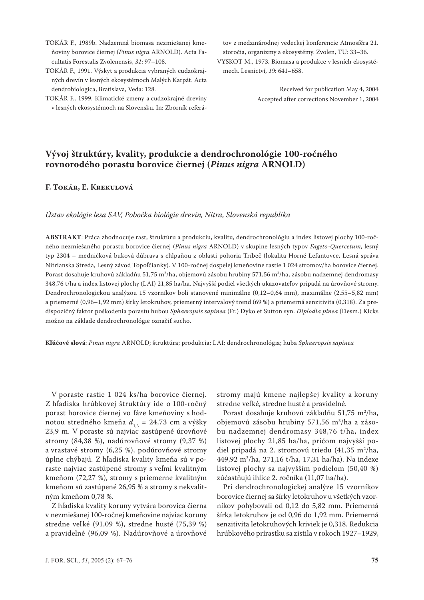- TOKÁR F., 1989b. Nadzemná biomasa nezmiešanej kmeňoviny borovice čiernej (*Pinus nigra* ARNOLD). Acta Facultatis Forestalis Zvolenensis, *31*: 97–108.
- TOKÁR F., 1991. Výskyt a produkcia vybraných cudzokrajných drevín v lesných ekosystémoch Malých Karpát. Acta dendrobiologica, Bratislava, Veda: 128.
- TOKÁR F., 1999. Klimatické zmeny a cudzokrajné dreviny v lesných ekosystémoch na Slovensku. In: Zborník referá-

tov z medzinárodnej vedeckej konferencie Atmosféra 21. storočia, organizmy a ekosystémy. Zvolen, TU: 33–36.

VYSKOT M., 1973. Biomasa a produkce v lesních ekosystémech. Lesnictví, *19*: 641–658.

> Received for publication May 4, 2004 Accepted after corrections November 1, 2004

# **Vývoj štruktúry, kvality, produkcie a dendrochronológie 100-ročného rovnorodého porastu borovice čiernej (***Pinus nigra* **ARNOLD)**

# **F. TOKÁR, E. KREKULOVÁ**

#### *Ústav ekológie lesa SAV, Pobočka biológie drevín, Nitra, Slovenská republika*

**ABSTRAKT**: Práca zhodnocuje rast, štruktúru a produkciu, kvalitu, dendrochronológiu a index listovej plochy 100-ročného nezmiešaného porastu borovice čiernej (*Pinus nigra* ARNOLD) v skupine lesných typov *Fageto-Quercetum*, lesný typ 2304 – medničková buková dúbrava s chlpaňou z oblasti pohoria Tríbeč (lokalita Horné Lefantovce, Lesná správa Nitrianska Streda, Lesný závod Topoľčianky). V 100-ročnej dospelej kmeňovine rastie 1 024 stromov/ha borovice čiernej. Porast dosahuje kruhovú základňu 51,75 m²/ha, objemovú zásobu hrubiny 571,56 m¾/ha, zásobu nadzemnej dendromasy 348,76 t/ha a index listovej plochy (LAI) 21,85 ha/ha. Najvyšší podiel všetkých ukazovateľov pripadá na úrovňové stromy. Dendrochronologickou analýzou 15 vzorníkov boli stanovené minimálne (0,12–0,64 mm), maximálne (2,55–5,82 mm) a priemerné (0,96–1,92 mm) šírky letokruhov, priemerný intervalový trend (69 %) a priemerná senzitivita (0,318). Za predispozičný faktor poškodenia porastu hubou *Sphaeropsis sapinea* (Fr.) Dyko et Sutton syn. *Diplodia pinea* (Desm.) Kicks možno na základe dendrochronológie označiť sucho.

**Kľúčové slová**: *Pinus nigra* ARNOLD; štruktúra; produkcia; LAI; dendrochronológia; huba *Sphaeropsis sapinea*

V poraste rastie 1 024 ks/ha borovice čiernej. Z hľadiska hrúbkovej štruktúry ide o 100-ročný porast borovice čiernej vo fáze kmeňoviny s hodnotou stredného kmeňa  $d_{13} = 24,73$  cm a výšky 23,9 m. V poraste sú najviac zastúpené úrovňové stromy (84,38 %), nadúrovňové stromy (9,37 %) a vrastavé stromy (6,25 %), podúrovňové stromy úplne chýbajú. Z hľadiska kvality kmeňa sú v poraste najviac zastúpené stromy s veľmi kvalitným kmeňom (72,27 %), stromy s priemerne kvalitným kmeňom sú zastúpené 26,95 % a stromy s nekvalitným kmeňom 0,78 %.

Z hľadiska kvality koruny vytvára borovica čierna v nezmiešanej 100-ročnej kmeňovine najviac koruny stredne veľké (91,09 %), stredne husté (75,39 %) a pravidelné (96,09 %). Nadúrovňové a úrovňové

stromy majú kmene najlepšej kvality a koruny stredne veľké, stredne husté a pravidelné.

Porast dosahuje kruhovú základňu 51,75 m<sup>2</sup>/ha, objemovú zásobu hrubiny 571,56 m<sup>3</sup>/ha a zásobu nadzemnej dendromasy 348,76 t/ha, index listovej plochy 21,85 ha/ha, pričom najvyšší podiel pripadá na 2. stromovú triedu  $(41,35 \text{ m}^2/\text{ha})$ 449,92 m3 /ha, 271,16 t/ha, 17,31 ha/ha). Na indexe listovej plochy sa najvyšším podielom (50,40 %) zúčastňujú ihlice 2. ročníka (11,07 ha/ha).

Pri dendrochronologickej analýze 15 vzorníkov borovice čiernej sa šírky letokruhov u všetkých vzorníkov pohybovali od 0,12 do 5,82 mm. Priemerná šírka letokruhov je od 0,96 do 1,92 mm. Priemerná senzitivita letokruhových kriviek je 0,318. Redukcia hrúbkového prírastku sa zistila v rokoch 1927–1929,